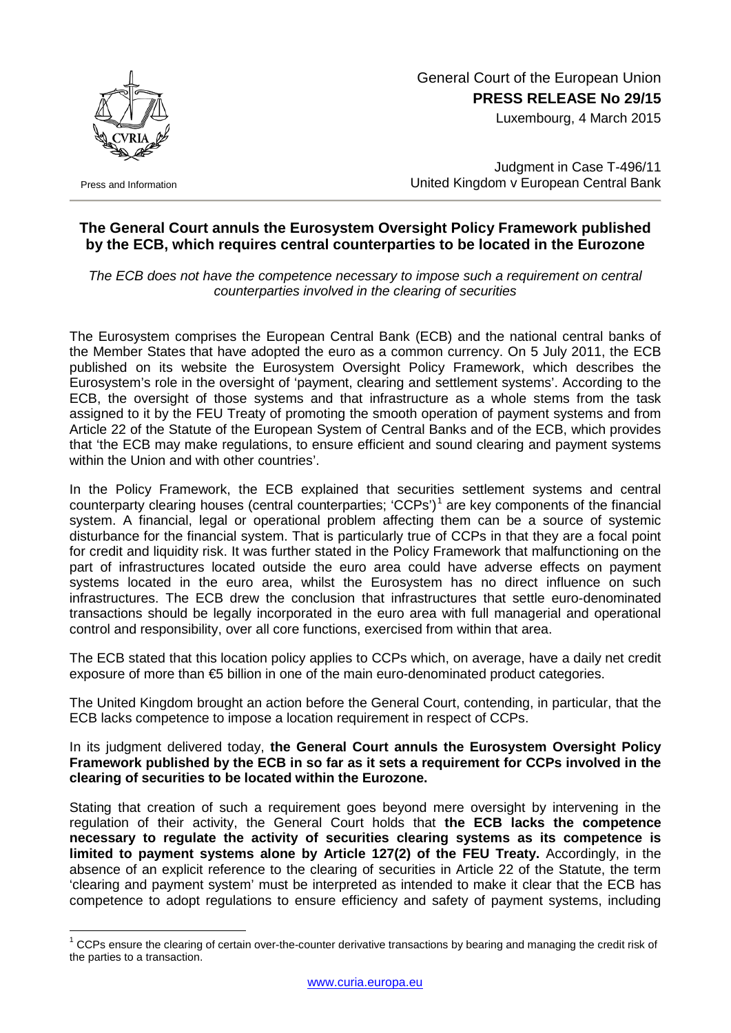General Court of the European Union **PRESS RELEASE No 29/15**

Luxembourg, 4 March 2015



Press and Information

Judgment in Case T-496/11 United Kingdom v European Central Bank

## **The General Court annuls the Eurosystem Oversight Policy Framework published by the ECB, which requires central counterparties to be located in the Eurozone**

*The ECB does not have the competence necessary to impose such a requirement on central counterparties involved in the clearing of securities*

The Eurosystem comprises the European Central Bank (ECB) and the national central banks of the Member States that have adopted the euro as a common currency. On 5 July 2011, the ECB published on its website the Eurosystem Oversight Policy Framework, which describes the Eurosystem's role in the oversight of 'payment, clearing and settlement systems'. According to the ECB, the oversight of those systems and that infrastructure as a whole stems from the task assigned to it by the FEU Treaty of promoting the smooth operation of payment systems and from Article 22 of the Statute of the European System of Central Banks and of the ECB, which provides that 'the ECB may make regulations, to ensure efficient and sound clearing and payment systems within the Union and with other countries'.

In the Policy Framework, the ECB explained that securities settlement systems and central counterparty clearing houses (central counterparties; 'CCPs')<sup>[1](#page-0-0)</sup> are key components of the financial system. A financial, legal or operational problem affecting them can be a source of systemic disturbance for the financial system. That is particularly true of CCPs in that they are a focal point for credit and liquidity risk. It was further stated in the Policy Framework that malfunctioning on the part of infrastructures located outside the euro area could have adverse effects on payment systems located in the euro area, whilst the Eurosystem has no direct influence on such infrastructures. The ECB drew the conclusion that infrastructures that settle euro-denominated transactions should be legally incorporated in the euro area with full managerial and operational control and responsibility, over all core functions, exercised from within that area.

The ECB stated that this location policy applies to CCPs which, on average, have a daily net credit exposure of more than €5 billion in one of the main euro-denominated product categories.

The United Kingdom brought an action before the General Court, contending, in particular, that the ECB lacks competence to impose a location requirement in respect of CCPs.

In its judgment delivered today, **the General Court annuls the Eurosystem Oversight Policy Framework published by the ECB in so far as it sets a requirement for CCPs involved in the clearing of securities to be located within the Eurozone.**

Stating that creation of such a requirement goes beyond mere oversight by intervening in the regulation of their activity, the General Court holds that **the ECB lacks the competence necessary to regulate the activity of securities clearing systems as its competence is limited to payment systems alone by Article 127(2) of the FEU Treaty.** Accordingly, in the absence of an explicit reference to the clearing of securities in Article 22 of the Statute, the term 'clearing and payment system' must be interpreted as intended to make it clear that the ECB has competence to adopt regulations to ensure efficiency and safety of payment systems, including

<span id="page-0-0"></span> $1$  CCPs ensure the clearing of certain over-the-counter derivative transactions by bearing and managing the credit risk of the parties to a transaction.